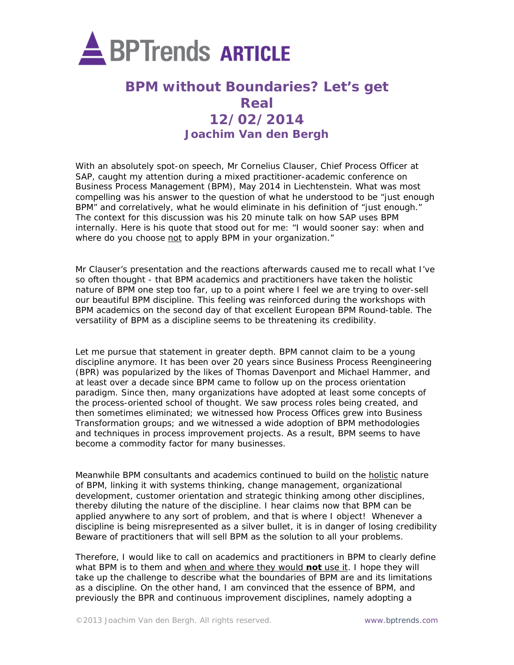

## **BPM without Boundaries? Let's get Real 12/02/2014 Joachim Van den Bergh**

With an absolutely spot-on speech, Mr Cornelius Clauser, Chief Process Officer at SAP, caught my attention during a mixed practitioner-academic conference on Business Process Management (BPM), May 2014 in Liechtenstein. What was most compelling was his answer to the question of what he understood to be "just enough BPM" and correlatively, what he would eliminate in his definition of "just enough." The context for this discussion was his 20 minute talk on how SAP uses BPM internally. Here is his quote that stood out for me: "I would sooner say: when and where do you choose not to apply BPM in your organization."

Mr Clauser's presentation and the reactions afterwards caused me to recall what I've so often thought - that BPM academics and practitioners have taken the holistic nature of BPM one step too far, up to a point where I feel we are trying to over-sell our beautiful BPM discipline. This feeling was reinforced during the workshops with BPM academics on the second day of that excellent European BPM Round-table. The versatility of BPM as a discipline seems to be threatening its credibility.

Let me pursue that statement in greater depth. BPM cannot claim to be a young discipline anymore. It has been over 20 years since Business Process Reengineering (BPR) was popularized by the likes of Thomas Davenport and Michael Hammer, and at least over a decade since BPM came to follow up on the process orientation paradigm. Since then, many organizations have adopted at least some concepts of the process-oriented school of thought. We saw process roles being created, and then sometimes eliminated; we witnessed how Process Offices grew into Business Transformation groups; and we witnessed a wide adoption of BPM methodologies and techniques in process improvement projects. As a result, BPM seems to have become a commodity factor for many businesses.

Meanwhile BPM consultants and academics continued to build on the **holistic** nature of BPM, linking it with systems thinking, change management, organizational development, customer orientation and strategic thinking among other disciplines, thereby diluting the nature of the discipline. I hear claims now that BPM can be applied anywhere to any sort of problem, and that is where I object! Whenever a discipline is being misrepresented as a silver bullet, it is in danger of losing credibility Beware of practitioners that will sell BPM as the solution to all your problems.

Therefore, I would like to call on academics and practitioners in BPM to clearly define what BPM is to them and when and where they would **not** use it. I hope they will take up the challenge to describe what the boundaries of BPM are and its limitations as a discipline. On the other hand, I am convinced that the essence of BPM, and previously the BPR and continuous improvement disciplines, namely adopting a